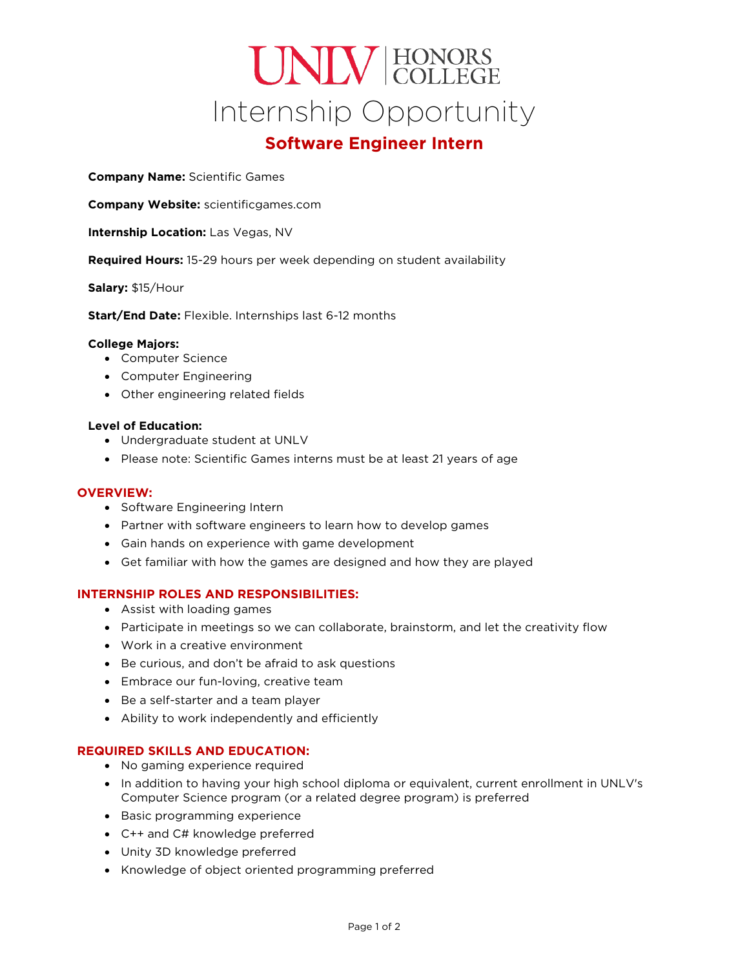# UNIV HONORS Internship Opportunity

# **Software Engineer Intern**

**Company Name:** Scientific Games

**Company Website:** scientificgames.com

**Internship Location:** Las Vegas, NV

**Required Hours:** 15-29 hours per week depending on student availability

**Salary:** \$15/Hour

**Start/End Date:** Flexible. Internships last 6-12 months

#### **College Majors:**

- Computer Science
- Computer Engineering
- Other engineering related fields

#### **Level of Education:**

- Undergraduate student at UNLV
- Please note: Scientific Games interns must be at least 21 years of age

#### **OVERVIEW:**

- Software Engineering Intern
- Partner with software engineers to learn how to develop games
- Gain hands on experience with game development
- Get familiar with how the games are designed and how they are played

#### **INTERNSHIP ROLES AND RESPONSIBILITIES:**

- Assist with loading games
- Participate in meetings so we can collaborate, brainstorm, and let the creativity flow
- Work in a creative environment
- Be curious, and don't be afraid to ask questions
- Embrace our fun-loving, creative team
- Be a self-starter and a team player
- Ability to work independently and efficiently

#### **REQUIRED SKILLS AND EDUCATION:**

- No gaming experience required
- In addition to having your high school diploma or equivalent, current enrollment in UNLV's Computer Science program (or a related degree program) is preferred
- Basic programming experience
- C++ and C# knowledge preferred
- Unity 3D knowledge preferred
- Knowledge of object oriented programming preferred